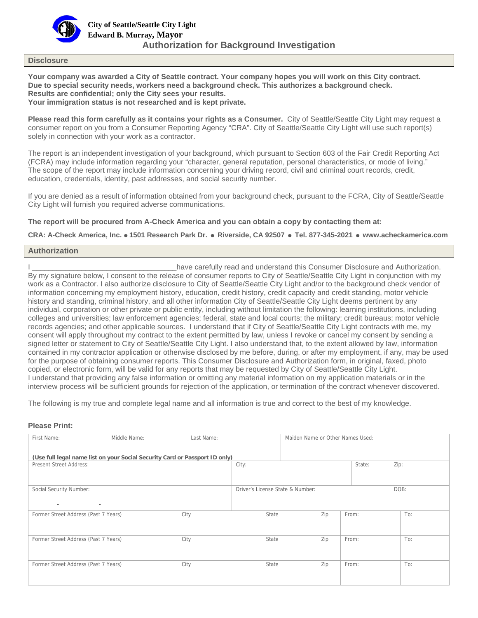

### **Disclosure**

**Your company was awarded a City of Seattle contract. Your company hopes you will work on this City contract. Due to special security needs, workers need a background check. This authorizes a background check. Results are confidential; only the City sees your results. Your immigration status is not researched and is kept private.** 

**Please read this form carefully as it contains your rights as a Consumer.** City of Seattle/Seattle City Light may request a consumer report on you from a Consumer Reporting Agency "CRA". City of Seattle/Seattle City Light will use such report(s) solely in connection with your work as a contractor.

The report is an independent investigation of your background, which pursuant to Section 603 of the Fair Credit Reporting Act (FCRA) may include information regarding your "character, general reputation, personal characteristics, or mode of living." The scope of the report may include information concerning your driving record, civil and criminal court records, credit, education, credentials, identity, past addresses, and social security number.

If you are denied as a result of information obtained from your background check, pursuant to the FCRA, City of Seattle/Seattle City Light will furnish you required adverse communications.

**The report will be procured from A-Check America and you can obtain a copy by contacting them at:** 

**CRA: A-Check America, Inc. 1501 Research Park Dr. Riverside, CA 92507 Tel. 877-345-2021 www.acheckamerica.com** 

# **Authorization**

I \_\_\_\_\_\_\_\_\_\_\_\_\_\_\_\_\_\_\_\_\_\_\_\_\_\_\_\_\_\_\_\_\_\_\_have carefully read and understand this Consumer Disclosure and Authorization. By my signature below, I consent to the release of consumer reports to City of Seattle/Seattle City Light in conjunction with my work as a Contractor. I also authorize disclosure to City of Seattle/Seattle City Light and/or to the background check vendor of information concerning my employment history, education, credit history, credit capacity and credit standing, motor vehicle history and standing, criminal history, and all other information City of Seattle/Seattle City Light deems pertinent by any individual, corporation or other private or public entity, including without limitation the following: learning institutions, including colleges and universities; law enforcement agencies; federal, state and local courts; the military; credit bureaus; motor vehicle records agencies; and other applicable sources. I understand that if City of Seattle/Seattle City Light contracts with me, my consent will apply throughout my contract to the extent permitted by law, unless I revoke or cancel my consent by sending a signed letter or statement to City of Seattle/Seattle City Light. I also understand that, to the extent allowed by law, information contained in my contractor application or otherwise disclosed by me before, during, or after my employment, if any, may be used for the purpose of obtaining consumer reports. This Consumer Disclosure and Authorization form, in original, faxed, photo copied, or electronic form, will be valid for any reports that may be requested by City of Seattle/Seattle City Light. I understand that providing any false information or omitting any material information on my application materials or in the interview process will be sufficient grounds for rejection of the application, or termination of the contract whenever discovered.

The following is my true and complete legal name and all information is true and correct to the best of my knowledge.

# **Please Print:**

| First Name:                          | Middle Name:                                                                | Last Name: |                                  | Maiden Name or Other Names Used: |        |      |
|--------------------------------------|-----------------------------------------------------------------------------|------------|----------------------------------|----------------------------------|--------|------|
|                                      | (Use full legal name list on your Social Security Card or Passport ID only) |            |                                  |                                  |        |      |
| Present Street Address:              |                                                                             |            | City:                            |                                  | State: | Zip: |
|                                      |                                                                             |            |                                  |                                  |        |      |
| Social Security Number:              |                                                                             |            | Driver's License State & Number: |                                  |        | DOB: |
| $\overline{\phantom{0}}$             | $\overline{\phantom{a}}$                                                    |            |                                  |                                  |        |      |
| Former Street Address (Past 7 Years) |                                                                             | City       | State                            | Zip                              | From:  | To:  |
|                                      |                                                                             |            |                                  |                                  |        |      |
| Former Street Address (Past 7 Years) |                                                                             | City       | State                            | Zip                              | From:  | To:  |
|                                      |                                                                             |            |                                  |                                  |        |      |
| Former Street Address (Past 7 Years) |                                                                             | City       | State                            | Zip                              | From:  | To:  |
|                                      |                                                                             |            |                                  |                                  |        |      |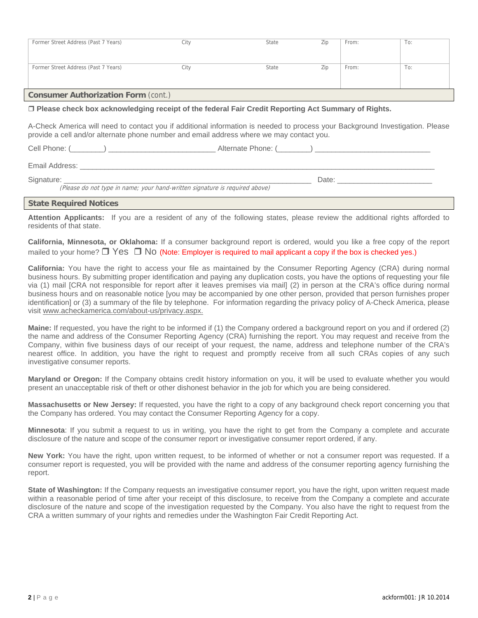|                                                                                                                 | Former Street Address (Past 7 Years) | City | State | Zip | From: | To: |  |
|-----------------------------------------------------------------------------------------------------------------|--------------------------------------|------|-------|-----|-------|-----|--|
|                                                                                                                 |                                      |      |       |     |       |     |  |
|                                                                                                                 |                                      |      |       |     |       |     |  |
|                                                                                                                 |                                      |      |       |     |       |     |  |
|                                                                                                                 | Former Street Address (Past 7 Years) | City | State | Zip | From: | To: |  |
|                                                                                                                 |                                      |      |       |     |       |     |  |
|                                                                                                                 |                                      |      |       |     |       |     |  |
|                                                                                                                 |                                      |      |       |     |       |     |  |
| <b>Consumer Authorization Form (cont.)</b>                                                                      |                                      |      |       |     |       |     |  |
| ra Bibele et de la constitución del constitución de la constitución de Belio Galego de la constitución de Belio |                                      |      |       |     |       |     |  |

## **Please check box acknowledging receipt of the federal Fair Credit Reporting Act Summary of Rights.**

A-Check America will need to contact you if additional information is needed to process your Background Investigation. Please provide a cell and/or alternate phone number and email address where we may contact you.

Cell Phone: (  $\Box$  ) and  $\Box$  and  $\Box$  and  $\Box$  Alternate Phone: (  $\Box$  )  $\Box$ 

Email Address: \_\_\_\_\_\_\_\_\_\_\_\_\_\_\_\_\_\_\_\_\_\_\_\_\_\_\_\_\_\_\_\_\_\_\_\_\_\_\_\_\_\_\_\_\_\_\_\_\_\_\_\_\_\_\_\_\_\_\_\_\_\_\_\_\_\_\_\_\_\_\_\_\_\_\_\_\_\_\_\_\_\_\_\_\_\_

Signature: \_\_\_\_\_\_\_\_\_\_\_\_\_\_\_\_\_\_\_\_\_\_\_\_\_\_\_\_\_\_\_\_\_\_\_\_\_\_\_\_\_\_\_\_\_\_\_\_\_\_\_\_\_\_\_\_\_\_\_\_ Date: \_\_\_\_\_\_\_\_\_\_\_\_\_\_\_\_\_\_\_\_\_\_\_

(Please do not type in name; your hand-written signature is required above)

#### **State Required Notices**

**Attention Applicants:** If you are a resident of any of the following states, please review the additional rights afforded to residents of that state.

**California, Minnesota, or Oklahoma:** If a consumer background report is ordered, would you like a free copy of the report mailed to your home?  $\Box$  Yes  $\Box$  No (Note: Employer is required to mail applicant a copy if the box is checked yes.)

**California:** You have the right to access your file as maintained by the Consumer Reporting Agency (CRA) during normal business hours. By submitting proper identification and paying any duplication costs, you have the options of requesting your file via (1) mail [CRA not responsible for report after it leaves premises via mail] (2) in person at the CRA's office during normal business hours and on reasonable notice [you may be accompanied by one other person, provided that person furnishes proper identification] or (3) a summary of the file by telephone. For information regarding the privacy policy of A-Check America, please visit www.acheckamerica.com/about-us/privacy.aspx.

**Maine:** If requested, you have the right to be informed if (1) the Company ordered a background report on you and if ordered (2) the name and address of the Consumer Reporting Agency (CRA) furnishing the report. You may request and receive from the Company, within five business days of our receipt of your request, the name, address and telephone number of the CRA's nearest office. In addition, you have the right to request and promptly receive from all such CRAs copies of any such investigative consumer reports.

**Maryland or Oregon:** If the Company obtains credit history information on you, it will be used to evaluate whether you would present an unacceptable risk of theft or other dishonest behavior in the job for which you are being considered.

**Massachusetts or New Jersey:** If requested, you have the right to a copy of any background check report concerning you that the Company has ordered. You may contact the Consumer Reporting Agency for a copy.

**Minnesota**: If you submit a request to us in writing, you have the right to get from the Company a complete and accurate disclosure of the nature and scope of the consumer report or investigative consumer report ordered, if any.

**New York:** You have the right, upon written request, to be informed of whether or not a consumer report was requested. If a consumer report is requested, you will be provided with the name and address of the consumer reporting agency furnishing the report.

**State of Washington:** If the Company requests an investigative consumer report, you have the right, upon written request made within a reasonable period of time after your receipt of this disclosure, to receive from the Company a complete and accurate disclosure of the nature and scope of the investigation requested by the Company. You also have the right to request from the CRA a written summary of your rights and remedies under the Washington Fair Credit Reporting Act.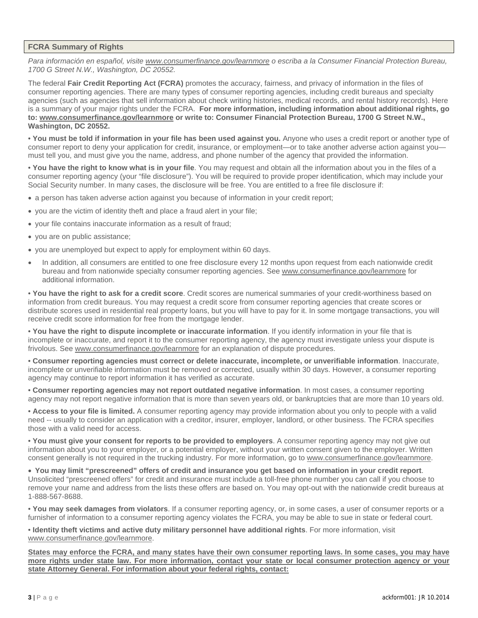# **FCRA Summary of Rights**

*Para información en español, visite www.consumerfinance.gov/learnmore o escriba a la Consumer Financial Protection Bureau, 1700 G Street N.W., Washington, DC 20552.* 

The federal **Fair Credit Reporting Act (FCRA)** promotes the accuracy, fairness, and privacy of information in the files of consumer reporting agencies. There are many types of consumer reporting agencies, including credit bureaus and specialty agencies (such as agencies that sell information about check writing histories, medical records, and rental history records). Here is a summary of your major rights under the FCRA. **For more information, including information about additional rights, go to: www.consumerfinance.gov/learnmore or write to: Consumer Financial Protection Bureau, 1700 G Street N.W., Washington, DC 20552.** 

• **You must be told if information in your file has been used against you.** Anyone who uses a credit report or another type of consumer report to deny your application for credit, insurance, or employment—or to take another adverse action against youmust tell you, and must give you the name, address, and phone number of the agency that provided the information.

• **You have the right to know what is in your file**. You may request and obtain all the information about you in the files of a consumer reporting agency (your "file disclosure"). You will be required to provide proper identification, which may include your Social Security number. In many cases, the disclosure will be free. You are entitled to a free file disclosure if:

- a person has taken adverse action against you because of information in your credit report;
- you are the victim of identity theft and place a fraud alert in your file;
- your file contains inaccurate information as a result of fraud;
- you are on public assistance;
- you are unemployed but expect to apply for employment within 60 days.
- In addition, all consumers are entitled to one free disclosure every 12 months upon request from each nationwide credit bureau and from nationwide specialty consumer reporting agencies. See www.consumerfinance.gov/learnmore for additional information.

• **You have the right to ask for a credit score**. Credit scores are numerical summaries of your credit-worthiness based on information from credit bureaus. You may request a credit score from consumer reporting agencies that create scores or distribute scores used in residential real property loans, but you will have to pay for it. In some mortgage transactions, you will receive credit score information for free from the mortgage lender.

• **You have the right to dispute incomplete or inaccurate information**. If you identify information in your file that is incomplete or inaccurate, and report it to the consumer reporting agency, the agency must investigate unless your dispute is frivolous. See www.consumerfinance.gov/learnmore for an explanation of dispute procedures.

• **Consumer reporting agencies must correct or delete inaccurate, incomplete, or unverifiable information**. Inaccurate, incomplete or unverifiable information must be removed or corrected, usually within 30 days. However, a consumer reporting agency may continue to report information it has verified as accurate.

• **Consumer reporting agencies may not report outdated negative information**. In most cases, a consumer reporting agency may not report negative information that is more than seven years old, or bankruptcies that are more than 10 years old.

• **Access to your file is limited.** A consumer reporting agency may provide information about you only to people with a valid need -- usually to consider an application with a creditor, insurer, employer, landlord, or other business. The FCRA specifies those with a valid need for access.

• **You must give your consent for reports to be provided to employers**. A consumer reporting agency may not give out information about you to your employer, or a potential employer, without your written consent given to the employer. Written consent generally is not required in the trucking industry. For more information, go to www.consumerfinance.gov/learnmore.

 **You may limit "prescreened" offers of credit and insurance you get based on information in your credit report**. Unsolicited "prescreened offers" for credit and insurance must include a toll-free phone number you can call if you choose to remove your name and address from the lists these offers are based on. You may opt-out with the nationwide credit bureaus at 1-888-567-8688.

• **You may seek damages from violators**. If a consumer reporting agency, or, in some cases, a user of consumer reports or a furnisher of information to a consumer reporting agency violates the FCRA, you may be able to sue in state or federal court.

• **Identity theft victims and active duty military personnel have additional rights**. For more information, visit www.consumerfinance.gov/learnmore.

**States may enforce the FCRA, and many states have their own consumer reporting laws. In some cases, you may have more rights under state law. For more information, contact your state or local consumer protection agency or your state Attorney General. For information about your federal rights, contact:**